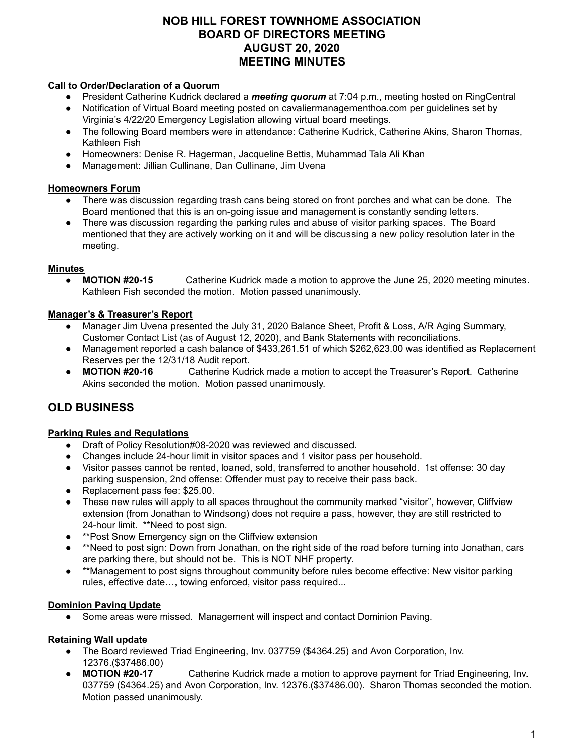## **NOB HILL FOREST TOWNHOME ASSOCIATION BOARD OF DIRECTORS MEETING AUGUST 20, 2020 MEETING MINUTES**

#### **Call to Order/Declaration of a Quorum**

- President Catherine Kudrick declared a *meeting quorum* at 7:04 p.m., meeting hosted on RingCentral
- Notification of Virtual Board meeting posted on cavaliermanagementhoa.com per guidelines set by
- Virginia's 4/22/20 Emergency Legislation allowing virtual board meetings. ● The following Board members were in attendance: Catherine Kudrick, Catherine Akins, Sharon Thomas,
- Kathleen Fish
- Homeowners: Denise R. Hagerman, Jacqueline Bettis, Muhammad Tala Ali Khan
- Management: Jillian Cullinane, Dan Cullinane, Jim Uvena

#### **Homeowners Forum**

- There was discussion regarding trash cans being stored on front porches and what can be done. The Board mentioned that this is an on-going issue and management is constantly sending letters.
- There was discussion regarding the parking rules and abuse of visitor parking spaces. The Board mentioned that they are actively working on it and will be discussing a new policy resolution later in the meeting.

## **Minutes**

● **MOTION #20-15** Catherine Kudrick made a motion to approve the June 25, 2020 meeting minutes. Kathleen Fish seconded the motion. Motion passed unanimously.

#### **Manager's & Treasurer's Report**

- Manager Jim Uvena presented the July 31, 2020 Balance Sheet, Profit & Loss, A/R Aging Summary, Customer Contact List (as of August 12, 2020), and Bank Statements with reconciliations.
- Management reported a cash balance of \$433,261.51 of which \$262,623.00 was identified as Replacement Reserves per the 12/31/18 Audit report.
- **MOTION #20-16** Catherine Kudrick made a motion to accept the Treasurer's Report. Catherine Akins seconded the motion. Motion passed unanimously.

# **OLD BUSINESS**

## **Parking Rules and Regulations**

- Draft of Policy Resolution#08-2020 was reviewed and discussed.
- Changes include 24-hour limit in visitor spaces and 1 visitor pass per household.
- Visitor passes cannot be rented, loaned, sold, transferred to another household. 1st offense: 30 day parking suspension, 2nd offense: Offender must pay to receive their pass back.
- Replacement pass fee: \$25.00.
- These new rules will apply to all spaces throughout the community marked "visitor", however, Cliffview extension (from Jonathan to Windsong) does not require a pass, however, they are still restricted to 24-hour limit. \*\*Need to post sign.
- **\*\*Post Snow Emergency sign on the Cliffview extension**
- \*\*Need to post sign: Down from Jonathan, on the right side of the road before turning into Jonathan, cars are parking there, but should not be. This is NOT NHF property.
- \*\*Management to post signs throughout community before rules become effective: New visitor parking rules, effective date…, towing enforced, visitor pass required...

## **Dominion Paving Update**

● Some areas were missed. Management will inspect and contact Dominion Paving.

## **Retaining Wall update**

- The Board reviewed Triad Engineering, Inv. 037759 (\$4364.25) and Avon Corporation, Inv. 12376.(\$37486.00)
- **MOTION #20-17** Catherine Kudrick made a motion to approve payment for Triad Engineering, Inv. 037759 (\$4364.25) and Avon Corporation, Inv. 12376.(\$37486.00). Sharon Thomas seconded the motion. Motion passed unanimously.